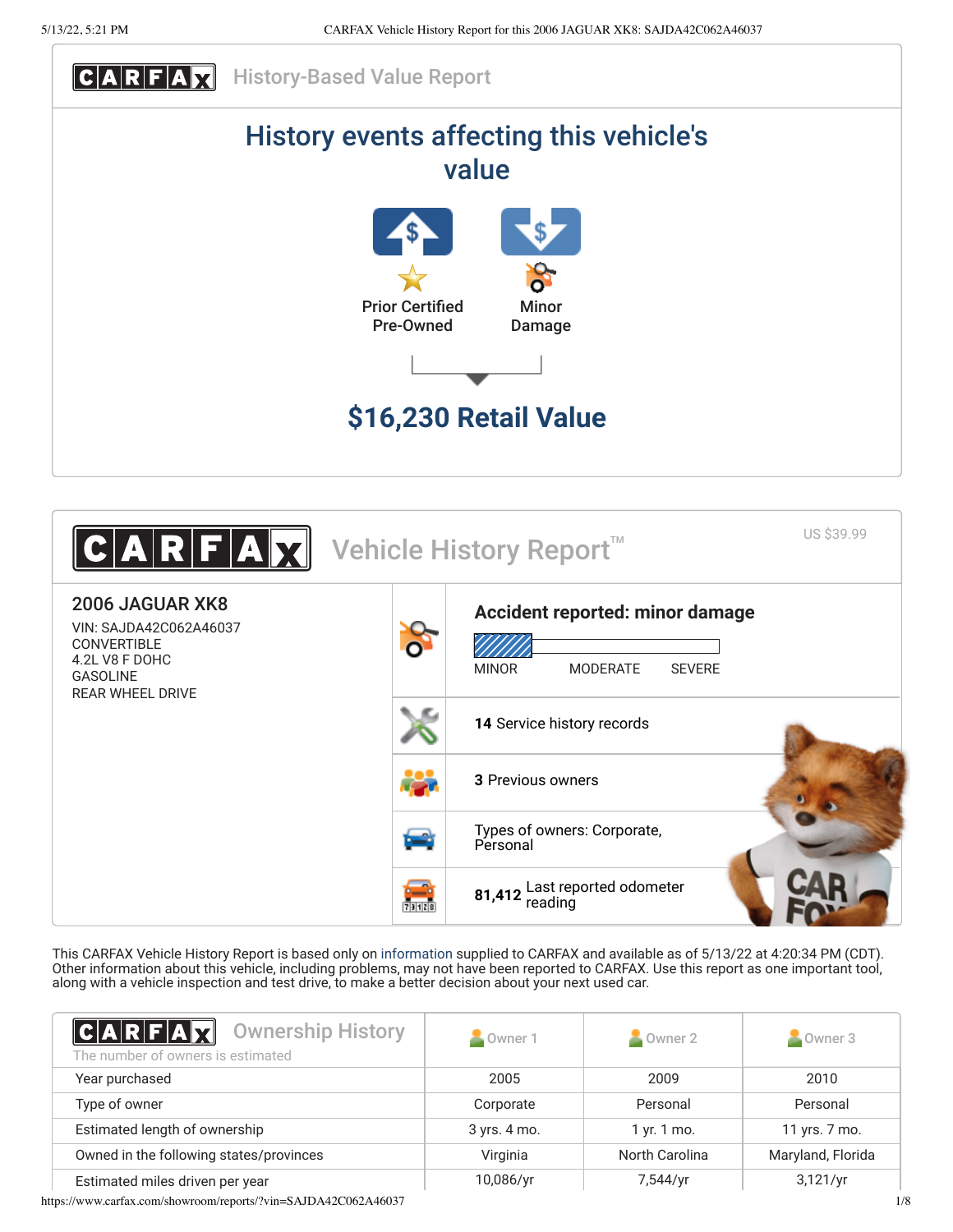



This CARFAX Vehicle History Report is based only on [information](http://www.carfax.com/company/vhr-data-sources) supplied to CARFAX and available as of 5/13/22 at 4:20:34 PM (CDT). Other information about this vehicle, including problems, may not have been reported to CARFAX. Use this report as one important tool, along with a vehicle inspection and test drive, to make a better decision about your next used car.

<span id="page-0-0"></span>

| $ C A R F A \vec{R}$<br><b>Ownership History</b><br>The number of owners is estimated | Owner 1      | Owner 2        | Owner 3           |
|---------------------------------------------------------------------------------------|--------------|----------------|-------------------|
| Year purchased                                                                        | 2005         | 2009           | 2010              |
| Type of owner                                                                         | Corporate    | Personal       | Personal          |
| Estimated length of ownership                                                         | 3 yrs. 4 mo. | 1 yr. 1 mo.    | 11 yrs. 7 mo.     |
| Owned in the following states/provinces                                               | Virginia     | North Carolina | Maryland, Florida |
| Estimated miles driven per year                                                       | 10,086/yr    | 7,544/yr       | 3,121/yr          |

https://www.carfax.com/showroom/reports/?vin=SAJDA42C062A46037 1/8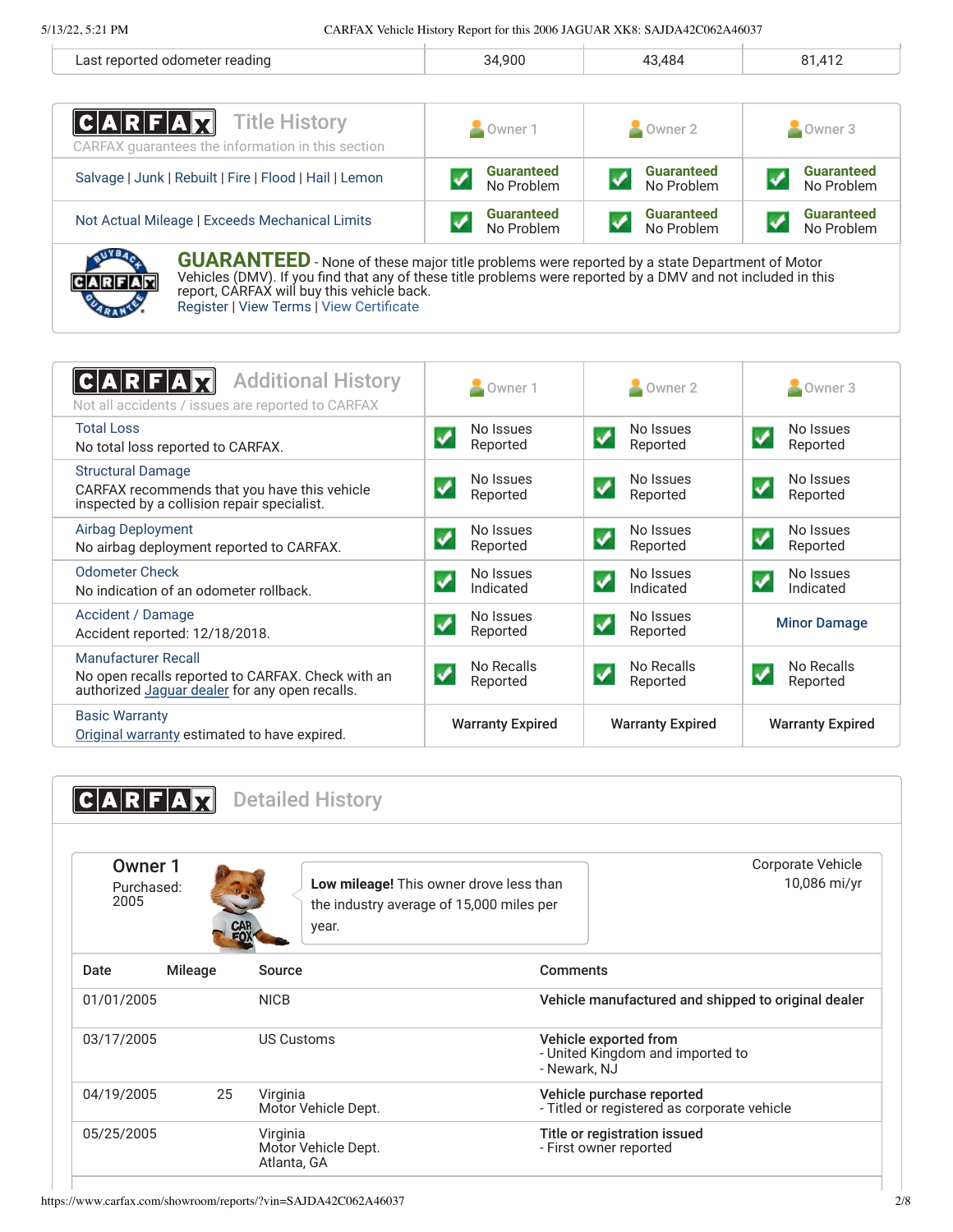| ' reading<br>$\cdots$<br>,,,,,,,, | .900 | $\Lambda$ 1<br>--<br>$\cdot$ $\cdot$ $-$ |
|-----------------------------------|------|------------------------------------------|
|                                   |      |                                          |

| $ C A R F A \chi$<br><b>Title History</b><br>CARFAX quarantees the information in this section                                                                                                                                                                  | Owner 1           | $\sim$ Owner 2    | Owner 3           |
|-----------------------------------------------------------------------------------------------------------------------------------------------------------------------------------------------------------------------------------------------------------------|-------------------|-------------------|-------------------|
| Salvage   Junk   Rebuilt   Fire   Flood   Hail   Lemon                                                                                                                                                                                                          | <b>Guaranteed</b> | <b>Guaranteed</b> | <b>Guaranteed</b> |
|                                                                                                                                                                                                                                                                 | No Problem        | No Problem        | No Problem        |
| Not Actual Mileage   Exceeds Mechanical Limits                                                                                                                                                                                                                  | <b>Guaranteed</b> | <b>Guaranteed</b> | <b>Guaranteed</b> |
|                                                                                                                                                                                                                                                                 | No Problem        | No Problem        | No Problem        |
| <b>GUARANTEED</b> - None of these major title problems were reported by a state Department of Motor<br>Vehicles (DMV). If you find that any of these title problems were reported by a DMV and not included in this<br>report CADEAY will buy this vehicle hask |                   |                   |                   |

report, CARFAX will buy this vehicle back. [Register](https://www.carfax.com/Service/bbg) | [View Terms](https://www.carfax.com/company/carfax-buyback-guarantee-terms-and-conditions) | [View Certificate](https://www.carfax.com/showroom/reports/?vin=SAJDA42C062A46037)

<span id="page-1-0"></span>

| <b>Additional History</b><br>Not all accidents / issues are reported to CARFAX                                                    | Owner 1                                           | $\sim$ Owner 2                                      | Owner 3                                            |
|-----------------------------------------------------------------------------------------------------------------------------------|---------------------------------------------------|-----------------------------------------------------|----------------------------------------------------|
| <b>Total Loss</b><br>No total loss reported to CARFAX.                                                                            | No Issues<br>Reported                             | No Issues<br>Reported                               | No Issues<br>Reported                              |
| <b>Structural Damage</b><br>CARFAX recommends that you have this vehicle<br>inspected by a collision repair specialist.           | No Issues<br>$\blacktriangledown$<br>Reported     | No Issues<br>$\blacktriangledown$<br>Reported       | No Issues<br>$\overline{\mathcal{L}}$<br>Reported  |
| <b>Airbag Deployment</b><br>No airbag deployment reported to CARFAX.                                                              | No Issues<br>$\blacktriangledown$<br>Reported     | No Issues<br>$\blacktriangledown$<br>Reported       | No Issues<br>$\blacktriangledown$<br>Reported      |
| <b>Odometer Check</b><br>No indication of an odometer rollback.                                                                   | No Issues<br>$\overline{\mathbf{v}}$<br>Indicated | No Issues<br>$\overline{\mathbf{v}}$<br>Indicated   | No Issues<br>$\overline{\mathcal{L}}$<br>Indicated |
| Accident / Damage<br>Accident reported: 12/18/2018.                                                                               | No Issues<br>$\overline{\mathbf{v}}$<br>Reported  | No Issues<br>$\boldsymbol{\mathcal{N}}$<br>Reported | <b>Minor Damage</b>                                |
| <b>Manufacturer Recall</b><br>No open recalls reported to CARFAX. Check with an<br>authorized Jaguar dealer for any open recalls. | No Recalls<br>✓<br>Reported                       | No Recalls<br>$\blacktriangledown$<br>Reported      | No Recalls<br>Reported                             |
| <b>Basic Warranty</b><br>Original warranty estimated to have expired.                                                             | <b>Warranty Expired</b>                           | <b>Warranty Expired</b>                             | <b>Warranty Expired</b>                            |

<span id="page-1-1"></span>

|                               |            | <b>Detailed History</b>                                                                      |                                                        |                                                     |
|-------------------------------|------------|----------------------------------------------------------------------------------------------|--------------------------------------------------------|-----------------------------------------------------|
| Owner 1<br>Purchased:<br>2005 | <b>CAR</b> | Low mileage! This owner drove less than<br>the industry average of 15,000 miles per<br>year. |                                                        | Corporate Vehicle<br>10,086 mi/yr                   |
| Date<br>Mileage               |            | Source                                                                                       | Comments                                               |                                                     |
| 01/01/2005                    |            | <b>NICB</b>                                                                                  |                                                        | Vehicle manufactured and shipped to original dealer |
| 03/17/2005                    |            | <b>US Customs</b>                                                                            | Vehicle exported from<br>- Newark, NJ                  | - United Kingdom and imported to                    |
| 04/19/2005                    | 25         | Virginia<br>Motor Vehicle Dept.                                                              | Vehicle purchase reported                              | - Titled or registered as corporate vehicle         |
| 05/25/2005                    |            | Virginia<br>Motor Vehicle Dept.<br>Atlanta, GA                                               | Title or registration issued<br>- First owner reported |                                                     |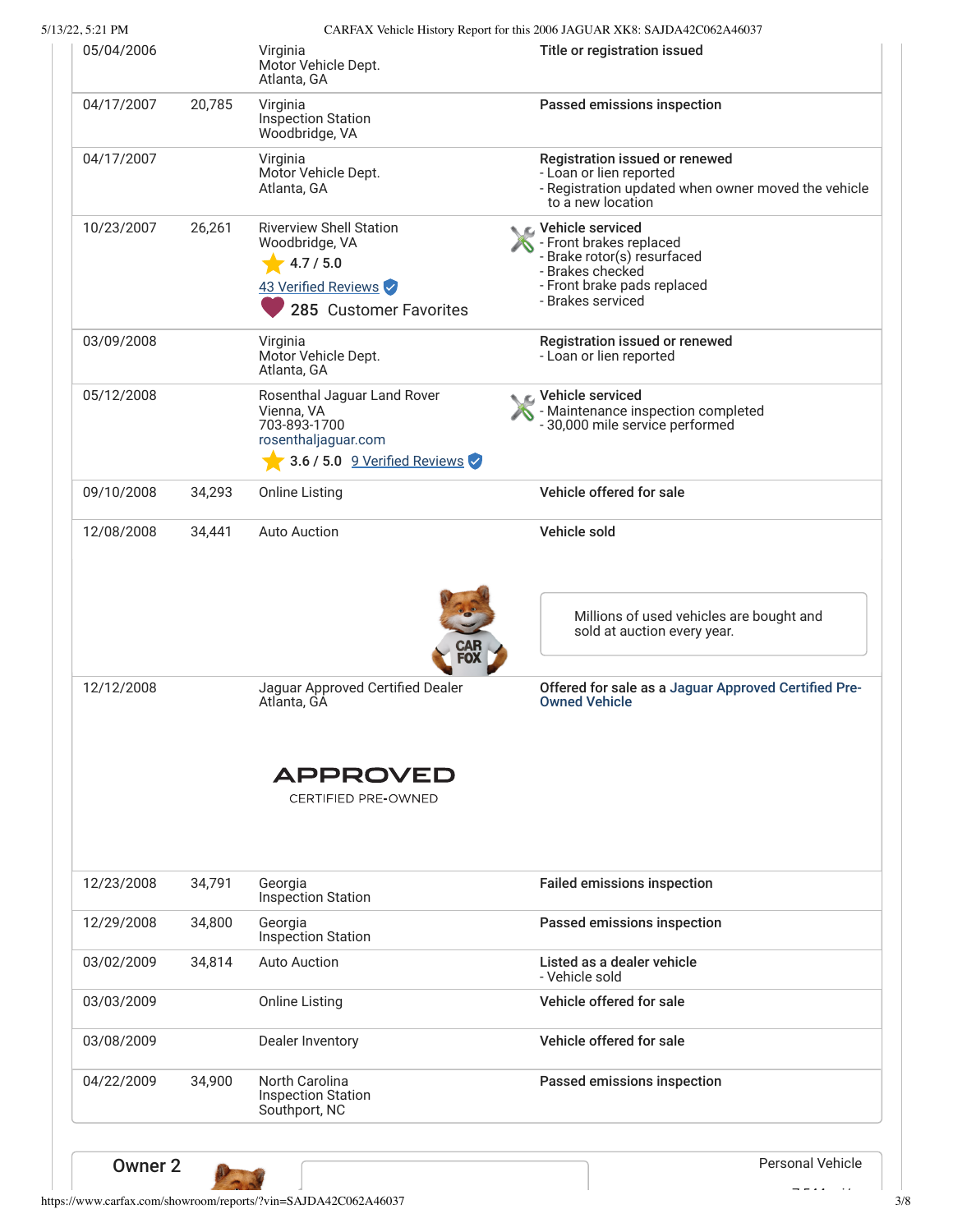5/13/22, 5:21 PM CARFAX Vehicle History Report for this 2006 JAGUAR XK8: SAJDA42C062A46037

| 05/04/2006               |        |                                                                                                                  |                                                                                                                                                      |
|--------------------------|--------|------------------------------------------------------------------------------------------------------------------|------------------------------------------------------------------------------------------------------------------------------------------------------|
|                          |        | Virginia<br>Motor Vehicle Dept.<br>Atlanta, GA                                                                   | Title or registration issued                                                                                                                         |
| 04/17/2007               | 20,785 | Virginia<br>Inspection Station<br>Woodbridge, VA                                                                 | Passed emissions inspection                                                                                                                          |
| 04/17/2007               |        | Virginia<br>Motor Vehicle Dept.<br>Atlanta, GA                                                                   | Registration issued or renewed<br>- Loan or lien reported<br>- Registration updated when owner moved the vehicle<br>to a new location                |
| 10/23/2007               | 26,261 | <b>Riverview Shell Station</b><br>Woodbridge, VA<br>4.7 / 5.0<br>43 Verified Reviews<br>285 Customer Favorites   | C Vehicle serviced<br>- Front brakes replaced<br>- Brake rotor(s) resurfaced<br>- Brakes checked<br>- Front brake pads replaced<br>- Brakes serviced |
| 03/09/2008               |        | Virginia<br>Motor Vehicle Dept.<br>Atlanta, GA                                                                   | Registration issued or renewed<br>- Loan or lien reported                                                                                            |
| 05/12/2008               |        | Rosenthal Jaguar Land Rover<br>Vienna, VA<br>703-893-1700<br>rosenthaljaguar.com<br>3.6 / 5.0 9 Verified Reviews | C Vehicle serviced<br>- Maintenance inspection completed<br>- 30,000 mile service performed                                                          |
| 09/10/2008               | 34,293 | <b>Online Listing</b>                                                                                            | Vehicle offered for sale                                                                                                                             |
| 12/08/2008               | 34,441 | <b>Auto Auction</b>                                                                                              | Vehicle sold                                                                                                                                         |
|                          |        |                                                                                                                  | Millions of used vehicles are bought and                                                                                                             |
|                          |        |                                                                                                                  | sold at auction every year.                                                                                                                          |
| 12/12/2008               |        | Jaguar Approved Certified Dealer<br>Atlanta, GA                                                                  | <b>Owned Vehicle</b>                                                                                                                                 |
|                          |        | APPROVED<br><b>CERTIFIED PRE-OWNED</b>                                                                           |                                                                                                                                                      |
|                          | 34.791 | Georgia<br>Inspection Station                                                                                    | Offered for sale as a Jaguar Approved Certified Pre-<br><b>Failed emissions inspection</b>                                                           |
| 12/23/2008<br>12/29/2008 | 34,800 | Georgia<br>Inspection Station                                                                                    | Passed emissions inspection                                                                                                                          |
| 03/02/2009               | 34,814 | <b>Auto Auction</b>                                                                                              | Listed as a dealer vehicle<br>- Vehicle sold                                                                                                         |
|                          |        | <b>Online Listing</b>                                                                                            | Vehicle offered for sale                                                                                                                             |
| 03/03/2009<br>03/08/2009 |        | Dealer Inventory                                                                                                 | Vehicle offered for sale                                                                                                                             |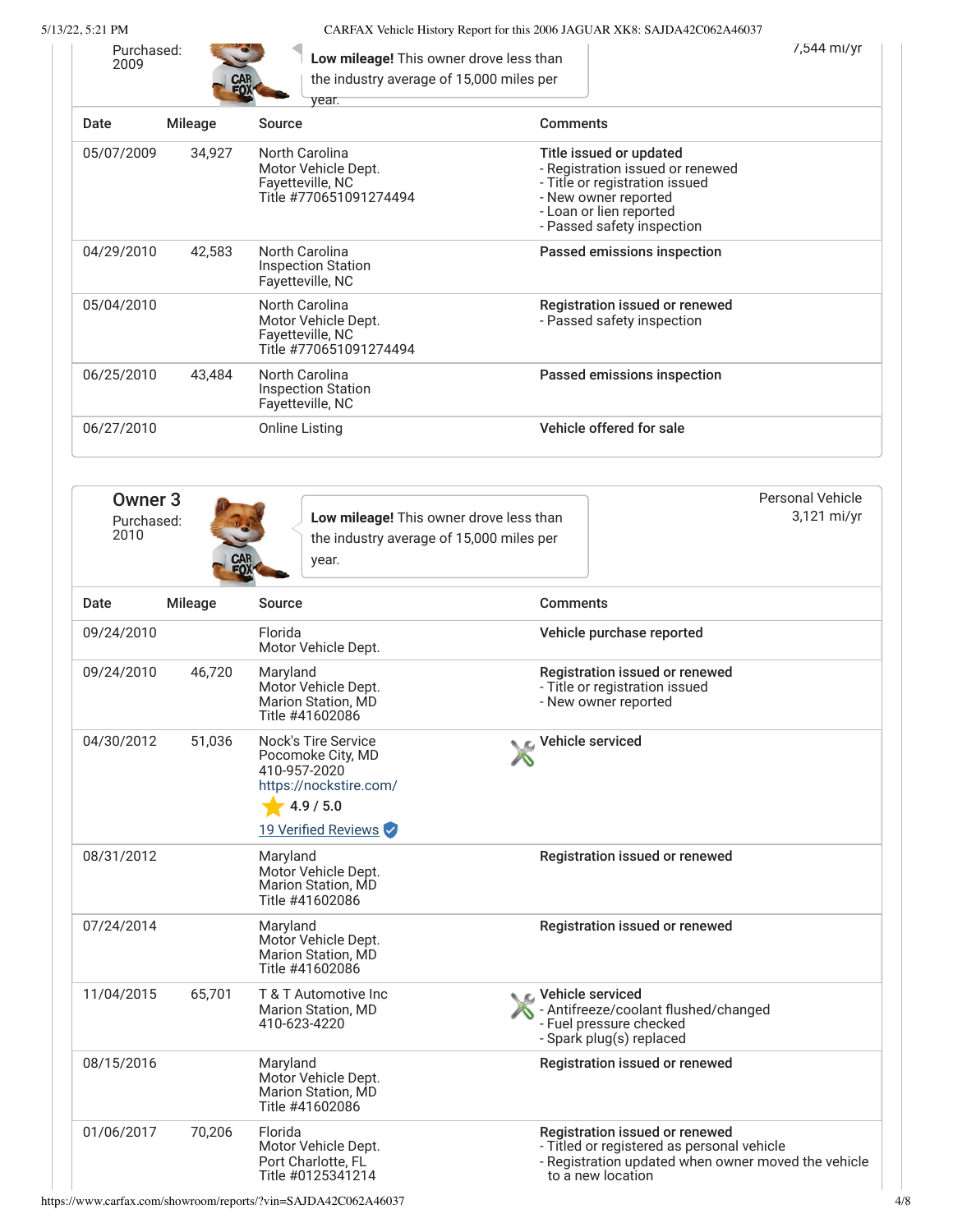5/13/22, 5:21 PM CARFAX Vehicle History Report for this 2006 JAGUAR XK8: SAJDA42C062A46037

| Purchased:<br>2009 | CAR<br>FOX <sup>*</sup> | Low mileage! This owner drove less than<br>the industry average of 15,000 miles per<br>vear. |                                                                                                                                                                                | 7,544 mi/yr |
|--------------------|-------------------------|----------------------------------------------------------------------------------------------|--------------------------------------------------------------------------------------------------------------------------------------------------------------------------------|-------------|
| Date               | <b>Mileage</b>          | Source                                                                                       | <b>Comments</b>                                                                                                                                                                |             |
| 05/07/2009         | 34,927                  | North Carolina<br>Motor Vehicle Dept.<br>Fayetteville, NC<br>Title #770651091274494          | Title issued or updated<br>- Registration issued or renewed<br>- Title or registration issued<br>- New owner reported<br>- Loan or lien reported<br>- Passed safety inspection |             |
| 04/29/2010         | 42,583                  | North Carolina<br><b>Inspection Station</b><br>Fayetteville, NC                              | Passed emissions inspection                                                                                                                                                    |             |
| 05/04/2010         |                         | North Carolina<br>Motor Vehicle Dept.<br>Fayetteville, NC<br>Title #770651091274494          | Registration issued or renewed<br>- Passed safety inspection                                                                                                                   |             |
| 06/25/2010         | 43,484                  | North Carolina<br><b>Inspection Station</b><br>Fayetteville, NC                              | Passed emissions inspection                                                                                                                                                    |             |
| 06/27/2010         |                         | Online Listing                                                                               | Vehicle offered for sale                                                                                                                                                       |             |

<span id="page-3-0"></span>

| Owner 3<br>Purchased:<br>2010 | $\sim$<br><b>CAR</b><br>ĒΛ | Low mileage! This owner drove less than<br>the industry average of 15,000 miles per<br>year. | Personal Vehicle<br>3,121 mi/yr |
|-------------------------------|----------------------------|----------------------------------------------------------------------------------------------|---------------------------------|
|                               |                            |                                                                                              |                                 |

| Date       | <b>Mileage</b> | Source                                                                                                                 | <b>Comments</b>                                                                                                                                          |
|------------|----------------|------------------------------------------------------------------------------------------------------------------------|----------------------------------------------------------------------------------------------------------------------------------------------------------|
| 09/24/2010 |                | Florida<br>Motor Vehicle Dept.                                                                                         | Vehicle purchase reported                                                                                                                                |
| 09/24/2010 | 46,720         | Maryland<br>Motor Vehicle Dept.<br>Marion Station, MD<br>Title #41602086                                               | Registration issued or renewed<br>- Title or registration issued<br>- New owner reported                                                                 |
| 04/30/2012 | 51,036         | Nock's Tire Service<br>Pocomoke City, MD<br>410-957-2020<br>https://nockstire.com/<br>4.9 / 5.0<br>19 Verified Reviews | Vehicle serviced                                                                                                                                         |
| 08/31/2012 |                | Maryland<br>Motor Vehicle Dept.<br><b>Marion Station, MD</b><br>Title #41602086                                        | Registration issued or renewed                                                                                                                           |
| 07/24/2014 |                | Maryland<br>Motor Vehicle Dept.<br>Marion Station, MD<br>Title #41602086                                               | Registration issued or renewed                                                                                                                           |
| 11/04/2015 | 65,701         | T & T Automotive Inc<br><b>Marion Station, MD</b><br>410-623-4220                                                      | <b>C</b> Vehicle serviced<br>- Antifreeze/coolant flushed/changed<br>- Fuel pressure checked<br>- Spark plug(s) replaced                                 |
| 08/15/2016 |                | Maryland<br>Motor Vehicle Dept.<br><b>Marion Station, MD</b><br>Title #41602086                                        | <b>Registration issued or renewed</b>                                                                                                                    |
| 01/06/2017 | 70,206         | Florida<br>Motor Vehicle Dept.<br>Port Charlotte, FL<br>Title #0125341214                                              | Registration issued or renewed<br>- Titled or registered as personal vehicle<br>- Registration updated when owner moved the vehicle<br>to a new location |

https://www.carfax.com/showroom/reports/?vin=SAJDA42C062A46037 4/8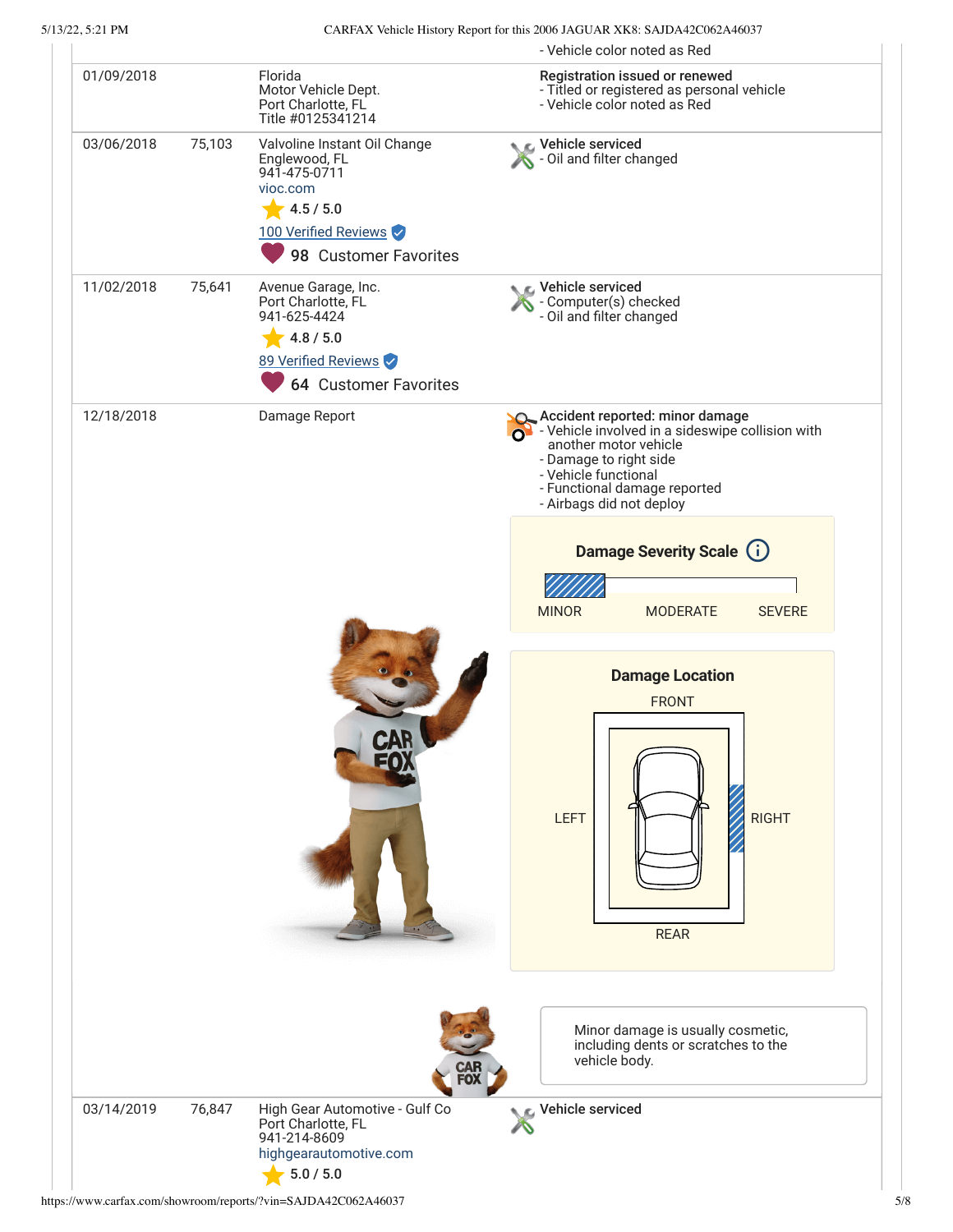|            |               |                                                                                                                                         | - Vehicle color noted as Red                                                                                                                                                                                                     |
|------------|---------------|-----------------------------------------------------------------------------------------------------------------------------------------|----------------------------------------------------------------------------------------------------------------------------------------------------------------------------------------------------------------------------------|
| 01/09/2018 |               | Florida<br>Motor Vehicle Dept.<br>Port Charlotte, FL<br>Title #0125341214                                                               | Registration issued or renewed<br>- Titled or registered as personal vehicle<br>- Vehicle color noted as Red                                                                                                                     |
| 03/06/2018 | 75,103        | Valvoline Instant Oil Change<br>Englewood, FL<br>941-475-0711<br>vioc.com<br>4.5 / 5.0<br>100 Verified Reviews<br>98 Customer Favorites | Vehicle serviced<br>S - Oil and filter changed                                                                                                                                                                                   |
| 11/02/2018 | 75,641        | Avenue Garage, Inc.<br>Port Charlotte, FL<br>941-625-4424<br>4.8 / 5.0<br>89 Verified Reviews<br><b>64 Customer Favorites</b>           | Vehicle serviced<br>- Computer(s) checked<br>- Oil and filter changed                                                                                                                                                            |
| 12/18/2018 | Damage Report |                                                                                                                                         | Accident reported: minor damage<br>and The Vehicle involved in a sideswipe collision with<br>another motor vehicle<br>- Damage to right side<br>- Vehicle functional<br>- Functional damage reported<br>- Airbags did not deploy |
|            |               |                                                                                                                                         | <b>Damage Severity Scale (i)</b><br><b>MINOR</b><br><b>MODERATE</b><br><b>SEVERE</b>                                                                                                                                             |
|            |               |                                                                                                                                         | <b>Damage Location</b><br><b>FRONT</b><br><b>RIGHT</b><br><b>LEFT</b><br><b>REAR</b>                                                                                                                                             |
|            |               |                                                                                                                                         | Minor damage is usually cosmetic,<br>including dents or scratches to the<br>vehicle body.                                                                                                                                        |
| 03/14/2019 | 76,847        | High Gear Automotive - Gulf Co<br>Port Charlotte, FL<br>941-214-8609<br>highgearautomotive.com<br>5.0 / 5.0                             | Vehicle serviced                                                                                                                                                                                                                 |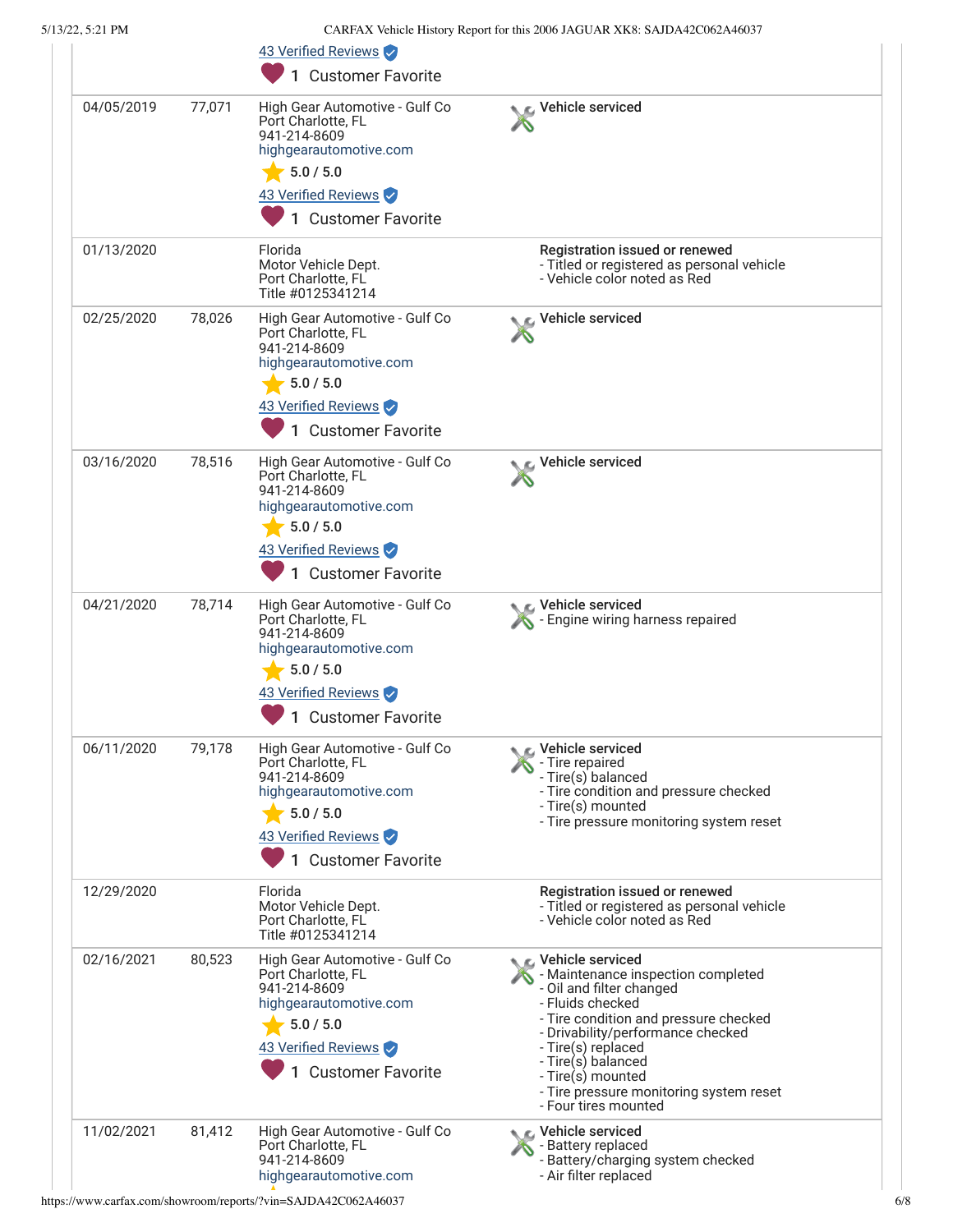|            |        | 43 Verified Reviews<br>1 Customer Favorite                                                                                                                     |                                                                                                                                                                                                                                                                                                                                     |
|------------|--------|----------------------------------------------------------------------------------------------------------------------------------------------------------------|-------------------------------------------------------------------------------------------------------------------------------------------------------------------------------------------------------------------------------------------------------------------------------------------------------------------------------------|
| 04/05/2019 | 77,071 | High Gear Automotive - Gulf Co<br>Port Charlotte, FL<br>941-214-8609<br>highgearautomotive.com<br>5.0 / 5.0<br>43 Verified Reviews<br>1 Customer Favorite      | Vehicle serviced                                                                                                                                                                                                                                                                                                                    |
| 01/13/2020 |        | Florida<br>Motor Vehicle Dept.<br>Port Charlotte, FL<br>Title #0125341214                                                                                      | Registration issued or renewed<br>- Titled or registered as personal vehicle<br>- Vehicle color noted as Red                                                                                                                                                                                                                        |
| 02/25/2020 | 78,026 | High Gear Automotive - Gulf Co<br>Port Charlotte, FL<br>941-214-8609<br>highgearautomotive.com<br>5.0 / 5.0<br>43 Verified Reviews<br>1 Customer Favorite      | r∡ Vehicle serviced                                                                                                                                                                                                                                                                                                                 |
| 03/16/2020 | 78,516 | High Gear Automotive - Gulf Co<br>Port Charlotte, FL<br>941-214-8609<br>highgearautomotive.com<br>5.0 / 5.0<br>43 Verified Reviews<br>1 Customer Favorite      | Vehicle serviced                                                                                                                                                                                                                                                                                                                    |
| 04/21/2020 | 78,714 | High Gear Automotive - Gulf Co<br>Port Charlotte, FL<br>941-214-8609<br>highgearautomotive.com<br>$-5.0/5.0$<br>43 Verified Reviews<br>1 Customer Favorite     | िट, Vehicle serviced<br>Engine wiring harness repaired                                                                                                                                                                                                                                                                              |
| 06/11/2020 | 79,178 | High Gear Automotive - Gulf Co<br>Port Charlotte, FL<br>941-214-8609<br>highgearautomotive.com<br>5.0 / 5.0<br>43 Verified Reviews<br><b>Customer Favorite</b> | C Vehicle serviced<br>- Tire repaired<br>- Tire(s) balanced<br>- Tire condition and pressure checked<br>- Tire(s) mounted<br>- Tire pressure monitoring system reset                                                                                                                                                                |
| 12/29/2020 |        | Florida<br>Motor Vehicle Dept.<br>Port Charlotte, FL<br>Title #0125341214                                                                                      | Registration issued or renewed<br>- Titled or registered as personal vehicle<br>- Vehicle color noted as Red                                                                                                                                                                                                                        |
| 02/16/2021 | 80,523 | High Gear Automotive - Gulf Co<br>Port Charlotte, FL<br>941-214-8609<br>highgearautomotive.com<br>5.0 / 5.0<br>43 Verified Reviews<br>1 Customer Favorite      | $\epsilon$ Vehicle serviced<br>- Maintenance inspection completed<br>- Oil and filter changed<br>- Fluids checked<br>- Tire condition and pressure checked<br>- Drivability/performance checked<br>- Tire(s) replaced<br>- Tire(s) balanced<br>- Tire(s) mounted<br>- Tire pressure monitoring system reset<br>- Four tires mounted |
| 11/02/2021 | 81,412 | High Gear Automotive - Gulf Co<br>Port Charlotte, FL<br>941-214-8609<br>highgearautomotive.com                                                                 | <b>€</b> Vehicle serviced<br>- Battery replaced<br>- Battery/charging system checked<br>- Air filter replaced                                                                                                                                                                                                                       |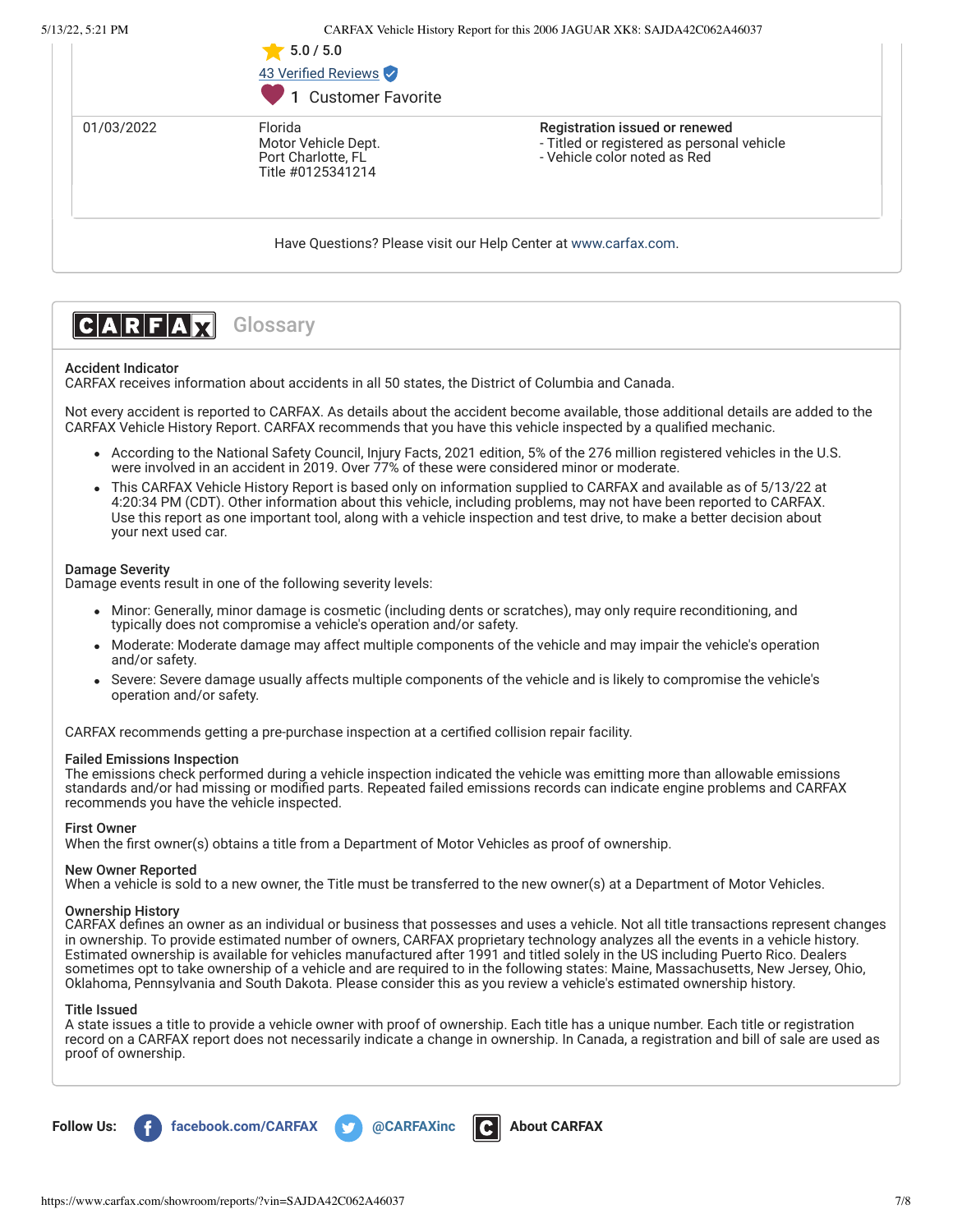|            | 5.0 / 5.0<br>43 Verified Reviews<br>1 Customer Favorite                   |                                                                                                              |
|------------|---------------------------------------------------------------------------|--------------------------------------------------------------------------------------------------------------|
| 01/03/2022 | Florida<br>Motor Vehicle Dept.<br>Port Charlotte, FL<br>Title #0125341214 | Registration issued or renewed<br>- Titled or registered as personal vehicle<br>- Vehicle color noted as Red |
|            |                                                                           | Have Questions? Please visit our Help Center at www.carfax.com.                                              |



# Accident Indicator

CARFAX receives information about accidents in all 50 states, the District of Columbia and Canada.

Not every accident is reported to CARFAX. As details about the accident become available, those additional details are added to the CARFAX Vehicle History Report. CARFAX recommends that you have this vehicle inspected by a qualified mechanic.

- According to the National Safety Council, Injury Facts, 2021 edition, 5% of the 276 million registered vehicles in the U.S. were involved in an accident in 2019. Over 77% of these were considered minor or moderate.
- This CARFAX Vehicle History Report is based only on information supplied to CARFAX and available as of 5/13/22 at 4:20:34 PM (CDT). Other information about this vehicle, including problems, may not have been reported to CARFAX. Use this report as one important tool, along with a vehicle inspection and test drive, to make a better decision about your next used car.

# Damage Severity

Damage events result in one of the following severity levels:

- Minor: Generally, minor damage is cosmetic (including dents or scratches), may only require reconditioning, and typically does not compromise a vehicle's operation and/or safety.
- Moderate: Moderate damage may affect multiple components of the vehicle and may impair the vehicle's operation and/or safety.
- Severe: Severe damage usually affects multiple components of the vehicle and is likely to compromise the vehicle's operation and/or safety.

CARFAX recommends getting a pre-purchase inspection at a certified collision repair facility.

# Failed Emissions Inspection

The emissions check performed during a vehicle inspection indicated the vehicle was emitting more than allowable emissions standards and/or had missing or modified parts. Repeated failed emissions records can indicate engine problems and CARFAX recommends you have the vehicle inspected.

# First Owner

When the first owner(s) obtains a title from a Department of Motor Vehicles as proof of ownership.

## New Owner Reported

When a vehicle is sold to a new owner, the Title must be transferred to the new owner(s) at a Department of Motor Vehicles.

### Ownership History

CARFAX defines an owner as an individual or business that possesses and uses a vehicle. Not all title transactions represent changes in ownership. To provide estimated number of owners, CARFAX proprietary technology analyzes all the events in a vehicle history. Estimated ownership is available for vehicles manufactured after 1991 and titled solely in the US including Puerto Rico. Dealers sometimes opt to take ownership of a vehicle and are required to in the following states: Maine, Massachusetts, New Jersey, Ohio, Oklahoma, Pennsylvania and South Dakota. Please consider this as you review a vehicle's estimated ownership history.

### Title Issued

A state issues a title to provide a vehicle owner with proof of ownership. Each title has a unique number. Each title or registration record on a CARFAX report does not necessarily indicate a change in ownership. In Canada, a registration and bill of sale are used as proof of ownership.